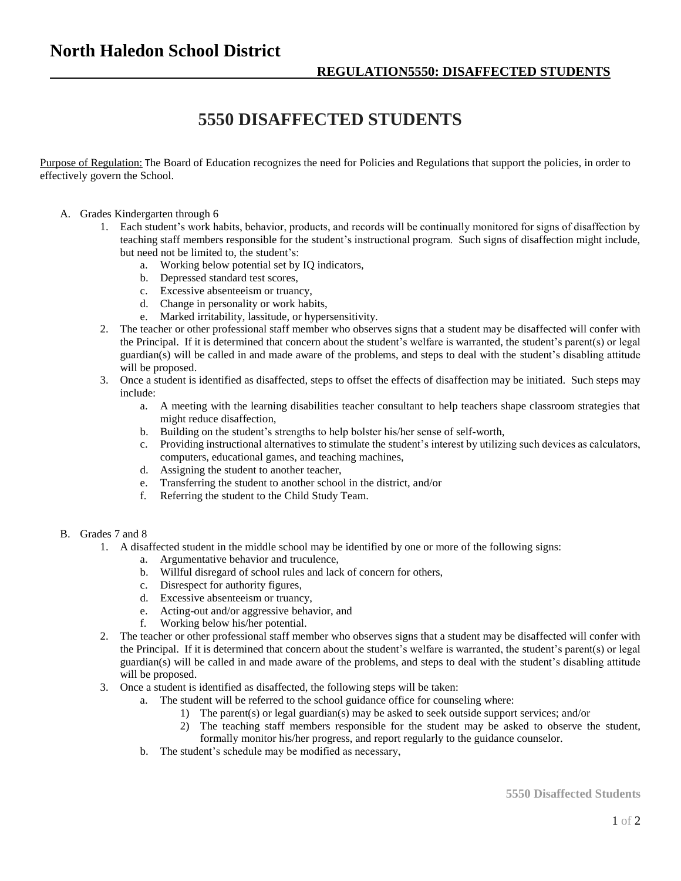## **North Haledon School District**

## **5550 DISAFFECTED STUDENTS**

Purpose of Regulation: The Board of Education recognizes the need for Policies and Regulations that support the policies, in order to effectively govern the School.

- A. Grades Kindergarten through 6
	- 1. Each student's work habits, behavior, products, and records will be continually monitored for signs of disaffection by teaching staff members responsible for the student's instructional program. Such signs of disaffection might include, but need not be limited to, the student's:
		- a. Working below potential set by IQ indicators,
		- b. Depressed standard test scores,
		- c. Excessive absenteeism or truancy,
		- d. Change in personality or work habits,
		- e. Marked irritability, lassitude, or hypersensitivity.
	- 2. The teacher or other professional staff member who observes signs that a student may be disaffected will confer with the Principal. If it is determined that concern about the student's welfare is warranted, the student's parent(s) or legal guardian(s) will be called in and made aware of the problems, and steps to deal with the student's disabling attitude will be proposed.
	- 3. Once a student is identified as disaffected, steps to offset the effects of disaffection may be initiated. Such steps may include:
		- a. A meeting with the learning disabilities teacher consultant to help teachers shape classroom strategies that might reduce disaffection,
		- b. Building on the student's strengths to help bolster his/her sense of self-worth,
		- c. Providing instructional alternatives to stimulate the student's interest by utilizing such devices as calculators, computers, educational games, and teaching machines,
		- d. Assigning the student to another teacher,
		- e. Transferring the student to another school in the district, and/or
		- f. Referring the student to the Child Study Team.
- B. Grades 7 and 8
	- 1. A disaffected student in the middle school may be identified by one or more of the following signs:
		- a. Argumentative behavior and truculence,
		- b. Willful disregard of school rules and lack of concern for others,
		- c. Disrespect for authority figures,
		- d. Excessive absenteeism or truancy,
		- e. Acting-out and/or aggressive behavior, and
		- f. Working below his/her potential.
	- 2. The teacher or other professional staff member who observes signs that a student may be disaffected will confer with the Principal. If it is determined that concern about the student's welfare is warranted, the student's parent(s) or legal guardian(s) will be called in and made aware of the problems, and steps to deal with the student's disabling attitude will be proposed.
	- 3. Once a student is identified as disaffected, the following steps will be taken:
		- a. The student will be referred to the school guidance office for counseling where:
			- 1) The parent(s) or legal guardian(s) may be asked to seek outside support services; and/or
			- 2) The teaching staff members responsible for the student may be asked to observe the student,
			- formally monitor his/her progress, and report regularly to the guidance counselor.
		- b. The student's schedule may be modified as necessary,